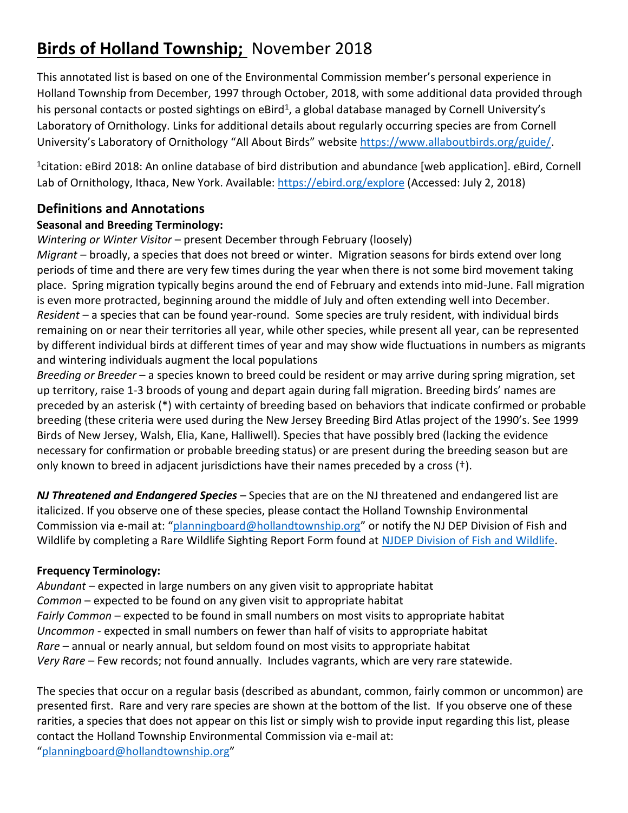# **Birds of Holland Township;** November 2018

This annotated list is based on one of the Environmental Commission member's personal experience in Holland Township from December, 1997 through October, 2018, with some additional data provided through his personal contacts or posted sightings on eBird<sup>1</sup>, a global database managed by Cornell University's Laboratory of Ornithology. Links for additional details about regularly occurring species are from Cornell University's Laboratory of Ornithology "All About Birds" website [https://www.allaboutbirds.org/guide/.](https://www.allaboutbirds.org/guide/)

1 citation: eBird 2018: An online database of bird distribution and abundance [web application]. eBird, Cornell Lab of Ornithology, Ithaca, New York. Available[: https://ebird.org/explore](https://ebird.org/explore) (Accessed: July 2, 2018)

## **Definitions and Annotations**

### **Seasonal and Breeding Terminology:**

#### *Wintering or Winter Visitor* – present December through February (loosely)

*Migrant* – broadly, a species that does not breed or winter. Migration seasons for birds extend over long periods of time and there are very few times during the year when there is not some bird movement taking place. Spring migration typically begins around the end of February and extends into mid-June. Fall migration is even more protracted, beginning around the middle of July and often extending well into December. *Resident* – a species that can be found year-round. Some species are truly resident, with individual birds remaining on or near their territories all year, while other species, while present all year, can be represented by different individual birds at different times of year and may show wide fluctuations in numbers as migrants and wintering individuals augment the local populations

*Breeding or Breeder* – a species known to breed could be resident or may arrive during spring migration, set up territory, raise 1-3 broods of young and depart again during fall migration. Breeding birds' names are preceded by an asterisk (\*) with certainty of breeding based on behaviors that indicate confirmed or probable breeding (these criteria were used during the New Jersey Breeding Bird Atlas project of the 1990's. See 1999 Birds of New Jersey, Walsh, Elia, Kane, Halliwell). Species that have possibly bred (lacking the evidence necessary for confirmation or probable breeding status) or are present during the breeding season but are only known to breed in adjacent jurisdictions have their names preceded by a cross (†).

*NJ Threatened and Endangered Species* – Species that are on the NJ threatened and endangered list are italicized. If you observe one of these species, please contact the Holland Township Environmental Commission via e-mail at: "[planningboard@hollandtownship.org](mailto:planningboard@hollandtownship.org)" or notify the NJ DEP Division of Fish and Wildlife by completing a Rare Wildlife Sighting Report Form found at [NJDEP Division of Fish and Wildlife.](https://www.nj.gov/dep/fgw/tandespp.htm)

### **Frequency Terminology:**

*Abundant* – expected in large numbers on any given visit to appropriate habitat *Common* – expected to be found on any given visit to appropriate habitat *Fairly Common* – expected to be found in small numbers on most visits to appropriate habitat *Uncommon* - expected in small numbers on fewer than half of visits to appropriate habitat *Rare* – annual or nearly annual, but seldom found on most visits to appropriate habitat *Very Rare* – Few records; not found annually. Includes vagrants, which are very rare statewide.

The species that occur on a regular basis (described as abundant, common, fairly common or uncommon) are presented first. Rare and very rare species are shown at the bottom of the list. If you observe one of these rarities, a species that does not appear on this list or simply wish to provide input regarding this list, please contact the Holland Township Environmental Commission via e-mail at: "[planningboard@hollandtownship.org](mailto:planningboard@hollandtownship.org)"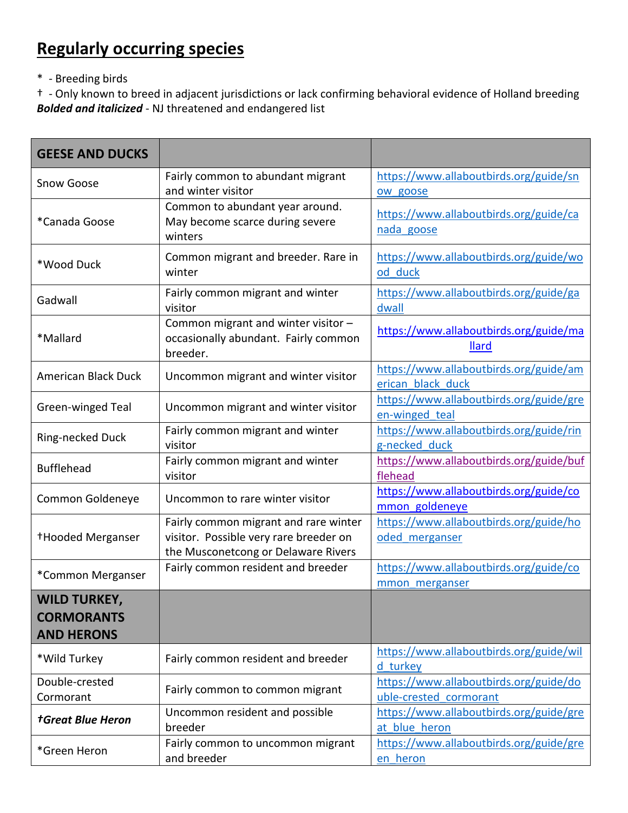## **Regularly occurring species**

\* - Breeding birds

† - Only known to breed in adjacent jurisdictions or lack confirming behavioral evidence of Holland breeding *Bolded and italicized* - NJ threatened and endangered list

| <b>GEESE AND DUCKS</b>                                        |                                                                                                                        |                                                                  |
|---------------------------------------------------------------|------------------------------------------------------------------------------------------------------------------------|------------------------------------------------------------------|
| Snow Goose                                                    | Fairly common to abundant migrant<br>and winter visitor                                                                | https://www.allaboutbirds.org/guide/sn<br>ow goose               |
| *Canada Goose                                                 | Common to abundant year around.<br>May become scarce during severe<br>winters                                          | https://www.allaboutbirds.org/guide/ca<br>nada goose             |
| *Wood Duck                                                    | Common migrant and breeder. Rare in<br>winter                                                                          | https://www.allaboutbirds.org/guide/wo<br>od duck                |
| Gadwall                                                       | Fairly common migrant and winter<br>visitor                                                                            | https://www.allaboutbirds.org/guide/ga<br>dwall                  |
| *Mallard                                                      | Common migrant and winter visitor -<br>occasionally abundant. Fairly common<br>breeder.                                | https://www.allaboutbirds.org/guide/ma<br><b>Ilard</b>           |
| <b>American Black Duck</b>                                    | Uncommon migrant and winter visitor                                                                                    | https://www.allaboutbirds.org/guide/am<br>erican black duck      |
| Green-winged Teal                                             | Uncommon migrant and winter visitor                                                                                    | https://www.allaboutbirds.org/guide/gre<br>en-winged teal        |
| Ring-necked Duck                                              | Fairly common migrant and winter<br>visitor                                                                            | https://www.allaboutbirds.org/guide/rin<br>g-necked duck         |
| <b>Bufflehead</b>                                             | Fairly common migrant and winter<br>visitor                                                                            | https://www.allaboutbirds.org/guide/buf<br>flehead               |
| Common Goldeneye                                              | Uncommon to rare winter visitor                                                                                        | https://www.allaboutbirds.org/guide/co<br>mmon goldeneye         |
| <sup>+</sup> Hooded Merganser                                 | Fairly common migrant and rare winter<br>visitor. Possible very rare breeder on<br>the Musconetcong or Delaware Rivers | https://www.allaboutbirds.org/guide/ho<br>oded merganser         |
| *Common Merganser                                             | Fairly common resident and breeder                                                                                     | https://www.allaboutbirds.org/guide/co<br>mmon merganser         |
| <b>WILD TURKEY,</b><br><b>CORMORANTS</b><br><b>AND HERONS</b> |                                                                                                                        |                                                                  |
| *Wild Turkey                                                  | Fairly common resident and breeder                                                                                     | https://www.allaboutbirds.org/guide/wil<br>d turkey              |
| Double-crested<br>Cormorant                                   | Fairly common to common migrant                                                                                        | https://www.allaboutbirds.org/guide/do<br>uble-crested cormorant |
| <b>†Great Blue Heron</b>                                      | Uncommon resident and possible<br>breeder                                                                              | https://www.allaboutbirds.org/guide/gre<br>at blue heron         |
| *Green Heron                                                  | Fairly common to uncommon migrant<br>and breeder                                                                       | https://www.allaboutbirds.org/guide/gre<br>en heron              |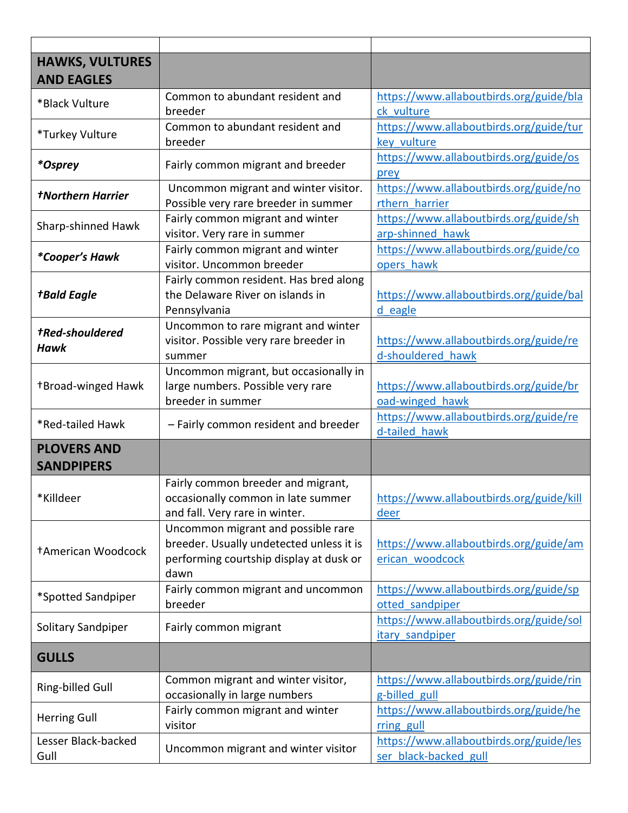| <b>HAWKS, VULTURES</b><br><b>AND EAGLES</b> |                                                                                                                                   |                                                                  |
|---------------------------------------------|-----------------------------------------------------------------------------------------------------------------------------------|------------------------------------------------------------------|
| *Black Vulture                              | Common to abundant resident and<br>breeder                                                                                        | https://www.allaboutbirds.org/guide/bla<br>ck vulture            |
| *Turkey Vulture                             | Common to abundant resident and<br>breeder                                                                                        | https://www.allaboutbirds.org/guide/tur<br>key vulture           |
| <i>*Osprey</i>                              | Fairly common migrant and breeder                                                                                                 | https://www.allaboutbirds.org/guide/os<br>prey                   |
| <b>†Northern Harrier</b>                    | Uncommon migrant and winter visitor.<br>Possible very rare breeder in summer                                                      | https://www.allaboutbirds.org/guide/no<br>rthern harrier         |
| Sharp-shinned Hawk                          | Fairly common migrant and winter<br>visitor. Very rare in summer                                                                  | https://www.allaboutbirds.org/guide/sh<br>arp-shinned hawk       |
| <i>*Cooper's Hawk</i>                       | Fairly common migrant and winter<br>visitor. Uncommon breeder                                                                     | https://www.allaboutbirds.org/guide/co<br>opers hawk             |
| <b>+Bald Eagle</b>                          | Fairly common resident. Has bred along<br>the Delaware River on islands in<br>Pennsylvania                                        | https://www.allaboutbirds.org/guide/bal<br>d eagle               |
| <b>tRed-shouldered</b><br><b>Hawk</b>       | Uncommon to rare migrant and winter<br>visitor. Possible very rare breeder in<br>summer                                           | https://www.allaboutbirds.org/guide/re<br>d-shouldered hawk      |
| <b>+Broad-winged Hawk</b>                   | Uncommon migrant, but occasionally in<br>large numbers. Possible very rare<br>breeder in summer                                   | https://www.allaboutbirds.org/guide/br<br>oad-winged hawk        |
| *Red-tailed Hawk                            | - Fairly common resident and breeder                                                                                              | https://www.allaboutbirds.org/guide/re<br>d-tailed hawk          |
| <b>PLOVERS AND</b><br><b>SANDPIPERS</b>     |                                                                                                                                   |                                                                  |
| *Killdeer                                   | Fairly common breeder and migrant,<br>occasionally common in late summer<br>and fall. Very rare in winter.                        | https://www.allaboutbirds.org/guide/kill<br>deer                 |
| <b>†American Woodcock</b>                   | Uncommon migrant and possible rare<br>breeder. Usually undetected unless it is<br>performing courtship display at dusk or<br>dawn | https://www.allaboutbirds.org/guide/am<br>erican woodcock        |
| *Spotted Sandpiper                          | Fairly common migrant and uncommon<br>breeder                                                                                     | https://www.allaboutbirds.org/guide/sp<br>otted sandpiper        |
| Solitary Sandpiper                          | Fairly common migrant                                                                                                             | https://www.allaboutbirds.org/guide/sol<br>itary sandpiper       |
| <b>GULLS</b>                                |                                                                                                                                   |                                                                  |
| Ring-billed Gull                            | Common migrant and winter visitor,<br>occasionally in large numbers                                                               | https://www.allaboutbirds.org/guide/rin<br>g-billed gull         |
| <b>Herring Gull</b>                         | Fairly common migrant and winter<br>visitor                                                                                       | https://www.allaboutbirds.org/guide/he<br>rring gull             |
| Lesser Black-backed<br>Gull                 | Uncommon migrant and winter visitor                                                                                               | https://www.allaboutbirds.org/guide/les<br>ser black-backed gull |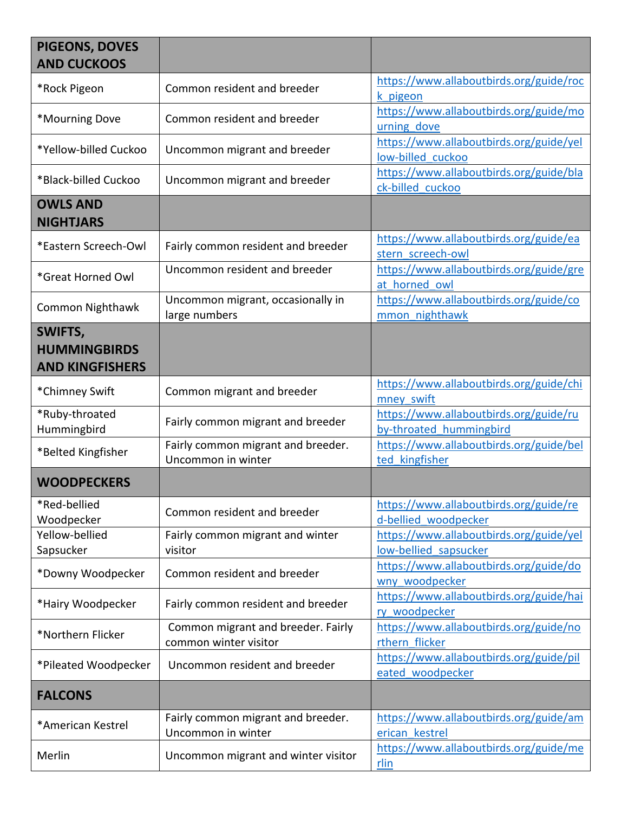| PIGEONS, DOVES<br><b>AND CUCKOOS</b>                     |                                                             |                                                                   |
|----------------------------------------------------------|-------------------------------------------------------------|-------------------------------------------------------------------|
| *Rock Pigeon                                             | Common resident and breeder                                 | https://www.allaboutbirds.org/guide/roc<br>k pigeon               |
| *Mourning Dove                                           | Common resident and breeder                                 | https://www.allaboutbirds.org/guide/mo<br>urning dove             |
| *Yellow-billed Cuckoo                                    | Uncommon migrant and breeder                                | https://www.allaboutbirds.org/guide/yel<br>low-billed cuckoo      |
| *Black-billed Cuckoo                                     | Uncommon migrant and breeder                                | https://www.allaboutbirds.org/guide/bla<br>ck-billed cuckoo       |
| <b>OWLS AND</b><br><b>NIGHTJARS</b>                      |                                                             |                                                                   |
| *Eastern Screech-Owl                                     | Fairly common resident and breeder                          | https://www.allaboutbirds.org/guide/ea<br>stern screech-owl       |
| *Great Horned Owl                                        | Uncommon resident and breeder                               | https://www.allaboutbirds.org/guide/gre<br>at horned owl          |
| <b>Common Nighthawk</b>                                  | Uncommon migrant, occasionally in<br>large numbers          | https://www.allaboutbirds.org/guide/co<br>mmon nighthawk          |
| SWIFTS,<br><b>HUMMINGBIRDS</b><br><b>AND KINGFISHERS</b> |                                                             |                                                                   |
| *Chimney Swift                                           | Common migrant and breeder                                  | https://www.allaboutbirds.org/guide/chi<br>mney swift             |
| *Ruby-throated<br>Hummingbird                            | Fairly common migrant and breeder                           | https://www.allaboutbirds.org/guide/ru<br>by-throated hummingbird |
| *Belted Kingfisher                                       | Fairly common migrant and breeder.<br>Uncommon in winter    | https://www.allaboutbirds.org/guide/bel<br>ted kingfisher         |
| <b>WOODPECKERS</b>                                       |                                                             |                                                                   |
| *Red-bellied<br>Woodpecker                               | Common resident and breeder                                 | https://www.allaboutbirds.org/guide/re<br>d-bellied woodpecker    |
| Yellow-bellied<br>Sapsucker                              | Fairly common migrant and winter<br>visitor                 | https://www.allaboutbirds.org/guide/yel<br>low-bellied sapsucker  |
| *Downy Woodpecker                                        | Common resident and breeder                                 | https://www.allaboutbirds.org/guide/do<br>wny woodpecker          |
| *Hairy Woodpecker                                        | Fairly common resident and breeder                          | https://www.allaboutbirds.org/guide/hai<br>ry woodpecker          |
| *Northern Flicker                                        | Common migrant and breeder. Fairly<br>common winter visitor | https://www.allaboutbirds.org/guide/no<br>rthern flicker          |
| *Pileated Woodpecker                                     | Uncommon resident and breeder                               | https://www.allaboutbirds.org/guide/pil<br>eated woodpecker       |
| <b>FALCONS</b>                                           |                                                             |                                                                   |
| *American Kestrel                                        | Fairly common migrant and breeder.<br>Uncommon in winter    | https://www.allaboutbirds.org/guide/am<br>erican kestrel          |
| Merlin                                                   | Uncommon migrant and winter visitor                         | https://www.allaboutbirds.org/guide/me<br>rlin                    |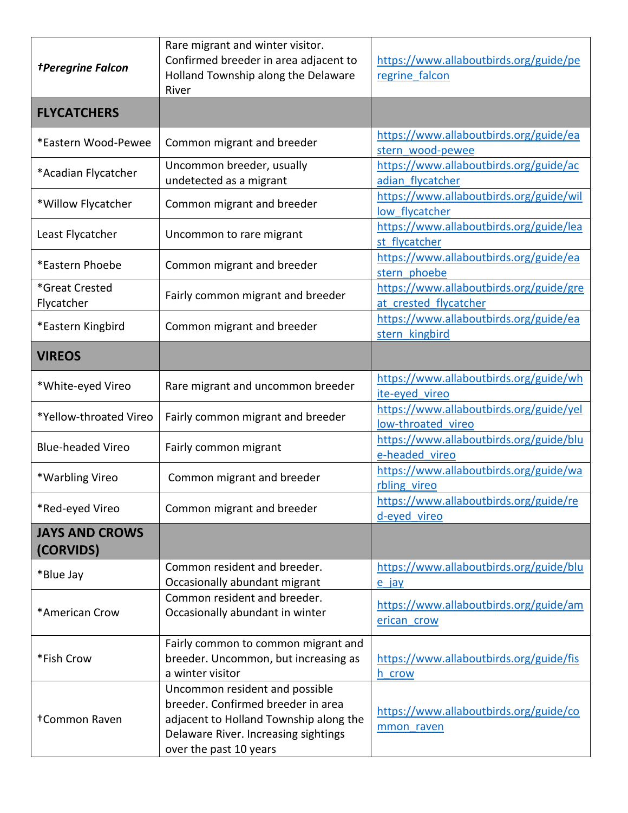| <b>+Peregrine Falcon</b>           | Rare migrant and winter visitor.<br>Confirmed breeder in area adjacent to<br>Holland Township along the Delaware                                                                 | https://www.allaboutbirds.org/guide/pe<br>regrine falcon         |
|------------------------------------|----------------------------------------------------------------------------------------------------------------------------------------------------------------------------------|------------------------------------------------------------------|
|                                    | River                                                                                                                                                                            |                                                                  |
| <b>FLYCATCHERS</b>                 |                                                                                                                                                                                  |                                                                  |
| *Eastern Wood-Pewee                | Common migrant and breeder                                                                                                                                                       | https://www.allaboutbirds.org/guide/ea<br>stern wood-pewee       |
| *Acadian Flycatcher                | Uncommon breeder, usually<br>undetected as a migrant                                                                                                                             | https://www.allaboutbirds.org/guide/ac<br>adian flycatcher       |
| *Willow Flycatcher                 | Common migrant and breeder                                                                                                                                                       | https://www.allaboutbirds.org/guide/wil<br>low flycatcher        |
| Least Flycatcher                   | Uncommon to rare migrant                                                                                                                                                         | https://www.allaboutbirds.org/guide/lea<br>st flycatcher         |
| *Eastern Phoebe                    | Common migrant and breeder                                                                                                                                                       | https://www.allaboutbirds.org/guide/ea<br>stern phoebe           |
| *Great Crested<br>Flycatcher       | Fairly common migrant and breeder                                                                                                                                                | https://www.allaboutbirds.org/guide/gre<br>at crested flycatcher |
| *Eastern Kingbird                  | Common migrant and breeder                                                                                                                                                       | https://www.allaboutbirds.org/guide/ea<br>stern kingbird         |
| <b>VIREOS</b>                      |                                                                                                                                                                                  |                                                                  |
| *White-eyed Vireo                  | Rare migrant and uncommon breeder                                                                                                                                                | https://www.allaboutbirds.org/guide/wh<br>ite-eyed vireo         |
| *Yellow-throated Vireo             | Fairly common migrant and breeder                                                                                                                                                | https://www.allaboutbirds.org/guide/yel<br>low-throated vireo    |
| <b>Blue-headed Vireo</b>           | Fairly common migrant                                                                                                                                                            | https://www.allaboutbirds.org/guide/blu<br>e-headed vireo        |
| *Warbling Vireo                    | Common migrant and breeder                                                                                                                                                       | https://www.allaboutbirds.org/guide/wa<br>rbling vireo           |
| *Red-eyed Vireo                    | Common migrant and breeder                                                                                                                                                       | https://www.allaboutbirds.org/guide/re<br>d-eyed vireo           |
| <b>JAYS AND CROWS</b><br>(CORVIDS) |                                                                                                                                                                                  |                                                                  |
| *Blue Jay                          | Common resident and breeder.<br>Occasionally abundant migrant                                                                                                                    | https://www.allaboutbirds.org/guide/blu<br>e jay                 |
| *American Crow                     | Common resident and breeder.<br>Occasionally abundant in winter                                                                                                                  | https://www.allaboutbirds.org/guide/am<br>erican crow            |
| *Fish Crow                         | Fairly common to common migrant and<br>breeder. Uncommon, but increasing as<br>a winter visitor                                                                                  | https://www.allaboutbirds.org/guide/fis<br>h crow                |
| <b>+Common Raven</b>               | Uncommon resident and possible<br>breeder. Confirmed breeder in area<br>adjacent to Holland Township along the<br>Delaware River. Increasing sightings<br>over the past 10 years | https://www.allaboutbirds.org/guide/co<br>mmon raven             |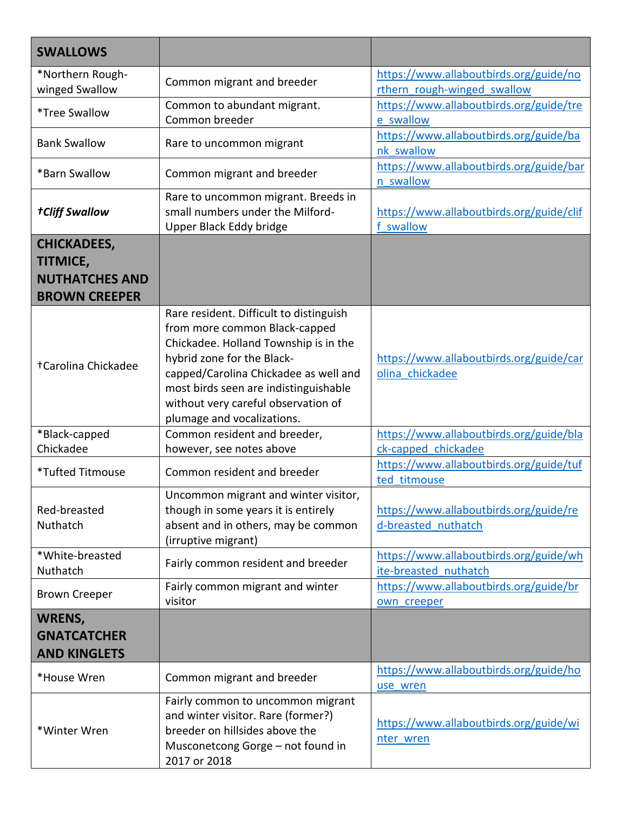| <b>SWALLOWS</b>                                                                        |                                                                                                                                                                                                                                                                                                        |                                                                       |
|----------------------------------------------------------------------------------------|--------------------------------------------------------------------------------------------------------------------------------------------------------------------------------------------------------------------------------------------------------------------------------------------------------|-----------------------------------------------------------------------|
| *Northern Rough-<br>winged Swallow                                                     | Common migrant and breeder                                                                                                                                                                                                                                                                             | https://www.allaboutbirds.org/guide/no<br>rthern rough-winged swallow |
| *Tree Swallow                                                                          | Common to abundant migrant.<br>Common breeder                                                                                                                                                                                                                                                          | https://www.allaboutbirds.org/guide/tre<br>e swallow                  |
| <b>Bank Swallow</b>                                                                    | Rare to uncommon migrant                                                                                                                                                                                                                                                                               | https://www.allaboutbirds.org/guide/ba<br>nk swallow                  |
| *Barn Swallow                                                                          | Common migrant and breeder                                                                                                                                                                                                                                                                             | https://www.allaboutbirds.org/guide/bar<br>n swallow                  |
| <b>†Cliff Swallow</b>                                                                  | Rare to uncommon migrant. Breeds in<br>small numbers under the Milford-<br>Upper Black Eddy bridge                                                                                                                                                                                                     | https://www.allaboutbirds.org/guide/clif<br>swallow                   |
| <b>CHICKADEES,</b><br><b>TITMICE,</b><br><b>NUTHATCHES AND</b><br><b>BROWN CREEPER</b> |                                                                                                                                                                                                                                                                                                        |                                                                       |
| +Carolina Chickadee                                                                    | Rare resident. Difficult to distinguish<br>from more common Black-capped<br>Chickadee. Holland Township is in the<br>hybrid zone for the Black-<br>capped/Carolina Chickadee as well and<br>most birds seen are indistinguishable<br>without very careful observation of<br>plumage and vocalizations. | https://www.allaboutbirds.org/guide/car<br>olina chickadee            |
| *Black-capped<br>Chickadee                                                             | Common resident and breeder,<br>however, see notes above                                                                                                                                                                                                                                               | https://www.allaboutbirds.org/guide/bla<br>ck-capped chickadee        |
| <i><b>*Tufted Titmouse</b></i>                                                         | Common resident and breeder                                                                                                                                                                                                                                                                            | https://www.allaboutbirds.org/guide/tuf<br>ted titmouse               |
| Red-breasted<br>Nuthatch                                                               | Uncommon migrant and winter visitor,<br>though in some years it is entirely<br>absent and in others, may be common<br>(irruptive migrant)                                                                                                                                                              | https://www.allaboutbirds.org/guide/re<br>d-breasted nuthatch         |
| *White-breasted<br>Nuthatch                                                            | Fairly common resident and breeder                                                                                                                                                                                                                                                                     | https://www.allaboutbirds.org/guide/wh<br>ite-breasted nuthatch       |
| <b>Brown Creeper</b>                                                                   | Fairly common migrant and winter<br>visitor                                                                                                                                                                                                                                                            | https://www.allaboutbirds.org/guide/br<br>own creeper                 |
| <b>WRENS,</b><br><b>GNATCATCHER</b><br><b>AND KINGLETS</b>                             |                                                                                                                                                                                                                                                                                                        |                                                                       |
| *House Wren                                                                            | Common migrant and breeder                                                                                                                                                                                                                                                                             | https://www.allaboutbirds.org/guide/ho<br>use wren                    |
| *Winter Wren                                                                           | Fairly common to uncommon migrant<br>and winter visitor. Rare (former?)<br>breeder on hillsides above the<br>Musconetcong Gorge - not found in<br>2017 or 2018                                                                                                                                         | https://www.allaboutbirds.org/guide/wi<br>nter wren                   |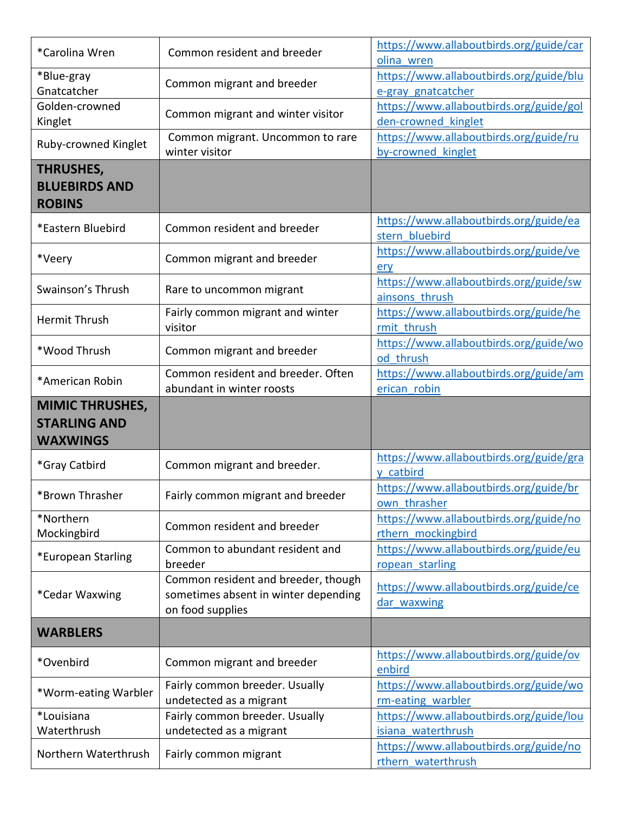| *Carolina Wren         | Common resident and breeder          | https://www.allaboutbirds.org/guide/car                      |
|------------------------|--------------------------------------|--------------------------------------------------------------|
|                        |                                      | olina wren                                                   |
| *Blue-gray             | Common migrant and breeder           | https://www.allaboutbirds.org/guide/blu                      |
| Gnatcatcher            |                                      | e-gray gnatcatcher                                           |
| Golden-crowned         | Common migrant and winter visitor    | https://www.allaboutbirds.org/guide/gol                      |
| Kinglet                |                                      | den-crowned kinglet                                          |
|                        | Common migrant. Uncommon to rare     | https://www.allaboutbirds.org/guide/ru                       |
| Ruby-crowned Kinglet   | winter visitor                       | by-crowned kinglet                                           |
| <b>THRUSHES,</b>       |                                      |                                                              |
| <b>BLUEBIRDS AND</b>   |                                      |                                                              |
| <b>ROBINS</b>          |                                      |                                                              |
|                        |                                      | https://www.allaboutbirds.org/guide/ea                       |
| *Eastern Bluebird      | Common resident and breeder          | stern bluebird                                               |
|                        |                                      |                                                              |
| *Veery                 | Common migrant and breeder           | https://www.allaboutbirds.org/guide/ve                       |
|                        |                                      | erv                                                          |
| Swainson's Thrush      | Rare to uncommon migrant             | https://www.allaboutbirds.org/guide/sw                       |
|                        |                                      | ainsons thrush                                               |
| Hermit Thrush          | Fairly common migrant and winter     | https://www.allaboutbirds.org/guide/he                       |
|                        | visitor                              | rmit thrush                                                  |
| *Wood Thrush           | Common migrant and breeder           | https://www.allaboutbirds.org/guide/wo                       |
|                        |                                      | od thrush                                                    |
| *American Robin        | Common resident and breeder. Often   | https://www.allaboutbirds.org/guide/am                       |
|                        | abundant in winter roosts            | erican robin                                                 |
| <b>MIMIC THRUSHES,</b> |                                      |                                                              |
|                        |                                      |                                                              |
| <b>STARLING AND</b>    |                                      |                                                              |
| <b>WAXWINGS</b>        |                                      |                                                              |
|                        |                                      |                                                              |
| *Gray Catbird          | Common migrant and breeder.          | https://www.allaboutbirds.org/guide/gra<br>y catbird         |
|                        |                                      |                                                              |
| *Brown Thrasher        | Fairly common migrant and breeder    | https://www.allaboutbirds.org/guide/br<br>own thrasher       |
|                        |                                      |                                                              |
| *Northern              | Common resident and breeder          | https://www.allaboutbirds.org/guide/no                       |
| Mockingbird            |                                      | rthern mockingbird                                           |
| *European Starling     | Common to abundant resident and      | https://www.allaboutbirds.org/guide/eu                       |
|                        | breeder                              | ropean starling                                              |
|                        | Common resident and breeder, though  | https://www.allaboutbirds.org/guide/ce                       |
| *Cedar Waxwing         | sometimes absent in winter depending | dar waxwing                                                  |
|                        | on food supplies                     |                                                              |
| <b>WARBLERS</b>        |                                      |                                                              |
|                        |                                      |                                                              |
| *Ovenbird              | Common migrant and breeder           | https://www.allaboutbirds.org/guide/ov                       |
|                        |                                      | enbird                                                       |
| *Worm-eating Warbler   | Fairly common breeder. Usually       | https://www.allaboutbirds.org/guide/wo                       |
|                        | undetected as a migrant              | rm-eating warbler                                            |
| *Louisiana             | Fairly common breeder. Usually       | https://www.allaboutbirds.org/guide/lou                      |
| Waterthrush            | undetected as a migrant              | isiana waterthrush                                           |
| Northern Waterthrush   | Fairly common migrant                | https://www.allaboutbirds.org/guide/no<br>rthern waterthrush |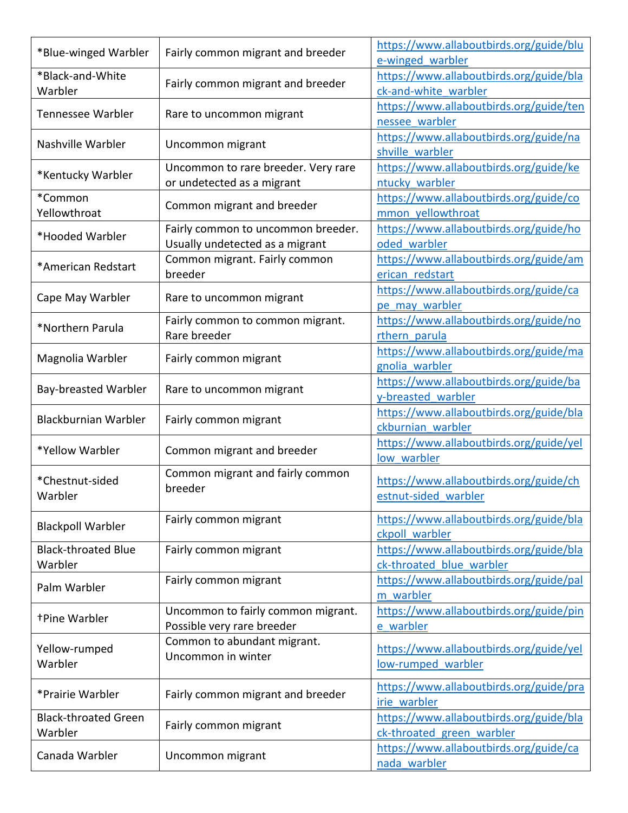| https://www.allaboutbirds.org/guide/blu<br>*Blue-winged Warbler<br>Fairly common migrant and breeder |  |
|------------------------------------------------------------------------------------------------------|--|
| e-winged warbler                                                                                     |  |
| *Black-and-White<br>https://www.allaboutbirds.org/guide/bla<br>Fairly common migrant and breeder     |  |
| ck-and-white warbler<br>Warbler                                                                      |  |
| https://www.allaboutbirds.org/guide/ten<br><b>Tennessee Warbler</b>                                  |  |
| Rare to uncommon migrant<br>nessee warbler                                                           |  |
| https://www.allaboutbirds.org/guide/na                                                               |  |
| Nashville Warbler<br>Uncommon migrant<br>shville warbler                                             |  |
| https://www.allaboutbirds.org/guide/ke<br>Uncommon to rare breeder. Very rare                        |  |
| *Kentucky Warbler<br>or undetected as a migrant<br>ntucky warbler                                    |  |
| https://www.allaboutbirds.org/guide/co<br>*Common                                                    |  |
| Common migrant and breeder<br>Yellowthroat<br>mmon yellowthroat                                      |  |
| https://www.allaboutbirds.org/guide/ho<br>Fairly common to uncommon breeder.                         |  |
| *Hooded Warbler<br>Usually undetected as a migrant<br>oded warbler                                   |  |
| https://www.allaboutbirds.org/guide/am<br>Common migrant. Fairly common                              |  |
| *American Redstart<br>breeder<br>erican redstart                                                     |  |
| https://www.allaboutbirds.org/guide/ca                                                               |  |
| Cape May Warbler<br>Rare to uncommon migrant<br>pe may warbler                                       |  |
| https://www.allaboutbirds.org/guide/no<br>Fairly common to common migrant.                           |  |
| *Northern Parula<br>Rare breeder<br>rthern parula                                                    |  |
| https://www.allaboutbirds.org/guide/ma                                                               |  |
| Magnolia Warbler<br>Fairly common migrant<br>gnolia warbler                                          |  |
| https://www.allaboutbirds.org/guide/ba                                                               |  |
| Bay-breasted Warbler<br>Rare to uncommon migrant<br>y-breasted warbler                               |  |
| https://www.allaboutbirds.org/guide/bla                                                              |  |
| <b>Blackburnian Warbler</b><br>Fairly common migrant<br>ckburnian warbler                            |  |
| https://www.allaboutbirds.org/guide/yel                                                              |  |
| *Yellow Warbler<br>Common migrant and breeder<br>low warbler                                         |  |
| Common migrant and fairly common                                                                     |  |
| *Chestnut-sided<br>https://www.allaboutbirds.org/guide/ch<br>breeder                                 |  |
| estnut-sided warbler<br>Warbler                                                                      |  |
| Fairly common migrant<br>https://www.allaboutbirds.org/guide/bla                                     |  |
| <b>Blackpoll Warbler</b><br>ckpoll warbler                                                           |  |
| https://www.allaboutbirds.org/guide/bla<br><b>Black-throated Blue</b><br>Fairly common migrant       |  |
| ck-throated blue warbler<br>Warbler                                                                  |  |
| https://www.allaboutbirds.org/guide/pal<br>Fairly common migrant                                     |  |
| Palm Warbler<br>m warbler                                                                            |  |
| https://www.allaboutbirds.org/guide/pin<br>Uncommon to fairly common migrant.                        |  |
| <b>+Pine Warbler</b><br>Possible very rare breeder<br>e warbler                                      |  |
| Common to abundant migrant.                                                                          |  |
| https://www.allaboutbirds.org/guide/yel<br>Yellow-rumped<br>Uncommon in winter                       |  |
| Warbler<br>low-rumped warbler                                                                        |  |
| https://www.allaboutbirds.org/guide/pra                                                              |  |
| Fairly common migrant and breeder<br>*Prairie Warbler<br>irie warbler                                |  |
| https://www.allaboutbirds.org/guide/bla<br><b>Black-throated Green</b>                               |  |
| Fairly common migrant<br>Warbler<br>ck-throated green warbler                                        |  |
| https://www.allaboutbirds.org/guide/ca                                                               |  |
| Canada Warbler<br>Uncommon migrant<br>nada warbler                                                   |  |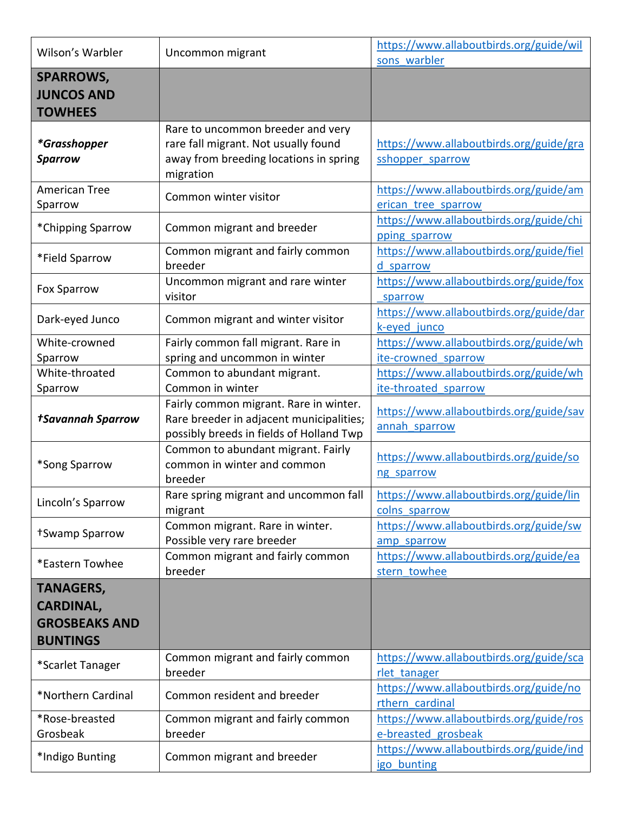| Wilson's Warbler                                                                | Uncommon migrant                                                                                                                 | https://www.allaboutbirds.org/guide/wil                        |
|---------------------------------------------------------------------------------|----------------------------------------------------------------------------------------------------------------------------------|----------------------------------------------------------------|
|                                                                                 |                                                                                                                                  | sons warbler                                                   |
| <b>SPARROWS,</b><br><b>JUNCOS AND</b><br><b>TOWHEES</b>                         |                                                                                                                                  |                                                                |
| *Grasshopper<br><b>Sparrow</b>                                                  | Rare to uncommon breeder and very<br>rare fall migrant. Not usually found<br>away from breeding locations in spring<br>migration | https://www.allaboutbirds.org/guide/gra<br>sshopper sparrow    |
| <b>American Tree</b><br>Sparrow                                                 | Common winter visitor                                                                                                            | https://www.allaboutbirds.org/guide/am<br>erican tree sparrow  |
| *Chipping Sparrow                                                               | Common migrant and breeder                                                                                                       | https://www.allaboutbirds.org/guide/chi<br>pping sparrow       |
| *Field Sparrow                                                                  | Common migrant and fairly common<br>breeder                                                                                      | https://www.allaboutbirds.org/guide/fiel<br>d sparrow          |
| Fox Sparrow                                                                     | Uncommon migrant and rare winter<br>visitor                                                                                      | https://www.allaboutbirds.org/guide/fox<br>sparrow             |
| Dark-eyed Junco                                                                 | Common migrant and winter visitor                                                                                                | https://www.allaboutbirds.org/guide/dar<br>k-eyed junco        |
| White-crowned                                                                   | Fairly common fall migrant. Rare in                                                                                              | https://www.allaboutbirds.org/guide/wh                         |
| Sparrow                                                                         | spring and uncommon in winter                                                                                                    | ite-crowned sparrow                                            |
| White-throated                                                                  | Common to abundant migrant.                                                                                                      | https://www.allaboutbirds.org/guide/wh                         |
| Sparrow                                                                         | Common in winter                                                                                                                 | ite-throated sparrow                                           |
| <b>tSavannah Sparrow</b>                                                        | Fairly common migrant. Rare in winter.<br>Rare breeder in adjacent municipalities;<br>possibly breeds in fields of Holland Twp   | https://www.allaboutbirds.org/guide/sav<br>annah sparrow       |
| *Song Sparrow                                                                   | Common to abundant migrant. Fairly<br>common in winter and common<br>breeder                                                     | https://www.allaboutbirds.org/guide/so<br>ng sparrow           |
| Lincoln's Sparrow                                                               | Rare spring migrant and uncommon fall<br>migrant                                                                                 | https://www.allaboutbirds.org/guide/lin<br>colns sparrow       |
| +Swamp Sparrow                                                                  | Common migrant. Rare in winter.<br>Possible very rare breeder                                                                    | https://www.allaboutbirds.org/guide/sw<br>amp sparrow          |
| *Eastern Towhee                                                                 | Common migrant and fairly common<br>breeder                                                                                      | https://www.allaboutbirds.org/guide/ea<br>stern towhee         |
| <b>TANAGERS,</b><br><b>CARDINAL,</b><br><b>GROSBEAKS AND</b><br><b>BUNTINGS</b> |                                                                                                                                  |                                                                |
| *Scarlet Tanager                                                                | Common migrant and fairly common<br>breeder                                                                                      | https://www.allaboutbirds.org/guide/sca<br>rlet tanager        |
| *Northern Cardinal                                                              | Common resident and breeder                                                                                                      | https://www.allaboutbirds.org/guide/no<br>rthern cardinal      |
| *Rose-breasted<br>Grosbeak                                                      | Common migrant and fairly common<br>breeder                                                                                      | https://www.allaboutbirds.org/guide/ros<br>e-breasted grosbeak |
| *Indigo Bunting                                                                 | Common migrant and breeder                                                                                                       | https://www.allaboutbirds.org/guide/ind<br>igo bunting         |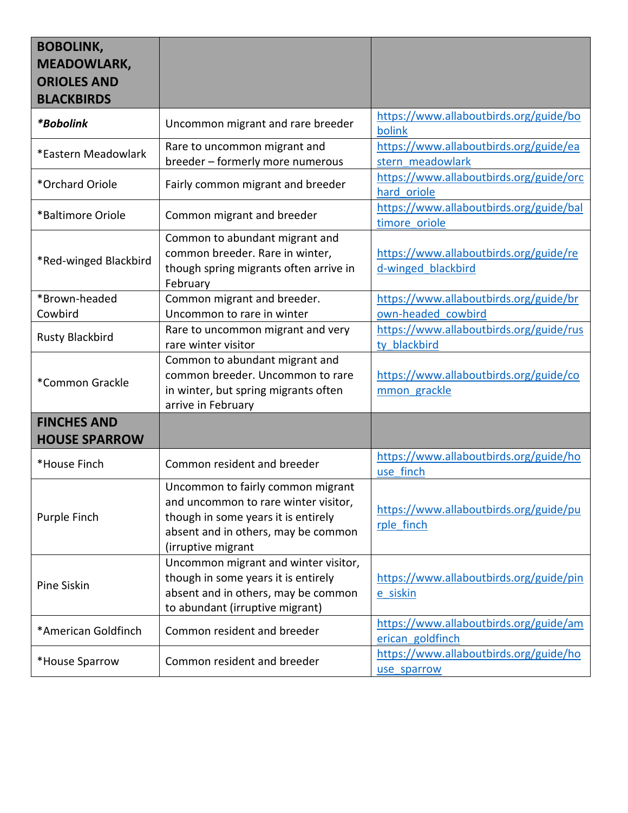| <b>BOBOLINK,</b><br><b>MEADOWLARK,</b><br><b>ORIOLES AND</b><br><b>BLACKBIRDS</b> |                                                                                                                                                                               |                                                              |
|-----------------------------------------------------------------------------------|-------------------------------------------------------------------------------------------------------------------------------------------------------------------------------|--------------------------------------------------------------|
| *Bobolink                                                                         | Uncommon migrant and rare breeder                                                                                                                                             | https://www.allaboutbirds.org/guide/bo<br>bolink             |
| *Eastern Meadowlark                                                               | Rare to uncommon migrant and<br>breeder - formerly more numerous                                                                                                              | https://www.allaboutbirds.org/guide/ea<br>stern meadowlark   |
| *Orchard Oriole                                                                   | Fairly common migrant and breeder                                                                                                                                             | https://www.allaboutbirds.org/guide/orc<br>hard oriole       |
| *Baltimore Oriole                                                                 | Common migrant and breeder                                                                                                                                                    | https://www.allaboutbirds.org/guide/bal<br>timore oriole     |
| *Red-winged Blackbird                                                             | Common to abundant migrant and<br>common breeder. Rare in winter,<br>though spring migrants often arrive in<br>February                                                       | https://www.allaboutbirds.org/guide/re<br>d-winged blackbird |
| *Brown-headed<br>Cowbird                                                          | Common migrant and breeder.<br>Uncommon to rare in winter                                                                                                                     | https://www.allaboutbirds.org/guide/br<br>own-headed cowbird |
| <b>Rusty Blackbird</b>                                                            | Rare to uncommon migrant and very<br>rare winter visitor                                                                                                                      | https://www.allaboutbirds.org/guide/rus<br>ty blackbird      |
| *Common Grackle                                                                   | Common to abundant migrant and<br>common breeder. Uncommon to rare<br>in winter, but spring migrants often<br>arrive in February                                              | https://www.allaboutbirds.org/guide/co<br>mmon grackle       |
| <b>FINCHES AND</b><br><b>HOUSE SPARROW</b>                                        |                                                                                                                                                                               |                                                              |
| *House Finch                                                                      | Common resident and breeder                                                                                                                                                   | https://www.allaboutbirds.org/guide/ho<br>use finch          |
| Purple Finch                                                                      | Uncommon to fairly common migrant<br>and uncommon to rare winter visitor,<br>though in some years it is entirely<br>absent and in others, may be common<br>(irruptive migrant | https://www.allaboutbirds.org/guide/pu<br>rple finch         |
| Pine Siskin                                                                       | Uncommon migrant and winter visitor,<br>though in some years it is entirely<br>absent and in others, may be common<br>to abundant (irruptive migrant)                         | https://www.allaboutbirds.org/guide/pin<br>e siskin          |
| *American Goldfinch                                                               | Common resident and breeder                                                                                                                                                   | https://www.allaboutbirds.org/guide/am<br>erican goldfinch   |
| *House Sparrow                                                                    | Common resident and breeder                                                                                                                                                   | https://www.allaboutbirds.org/guide/ho<br>use sparrow        |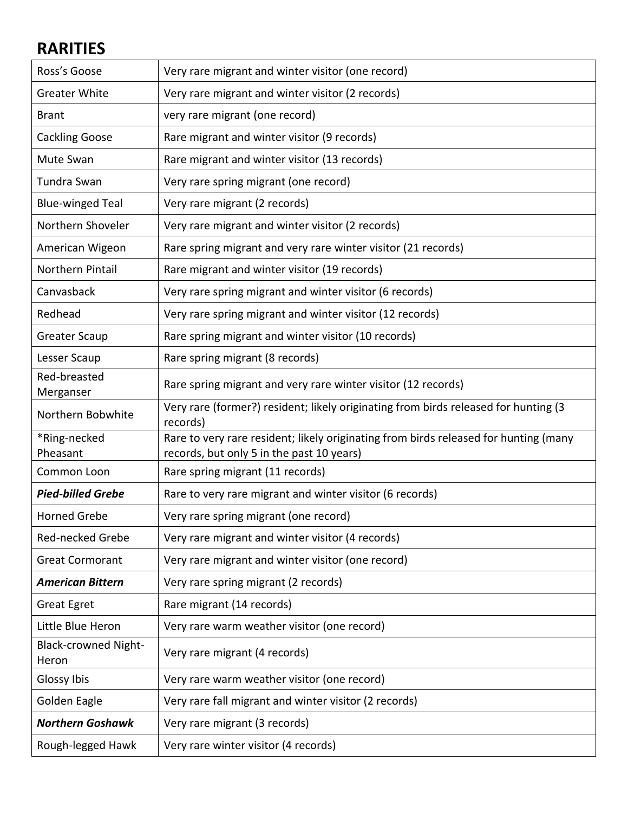## **RARITIES**

| Ross's Goose                         | Very rare migrant and winter visitor (one record)                                                                                 |
|--------------------------------------|-----------------------------------------------------------------------------------------------------------------------------------|
| <b>Greater White</b>                 | Very rare migrant and winter visitor (2 records)                                                                                  |
| <b>Brant</b>                         | very rare migrant (one record)                                                                                                    |
| <b>Cackling Goose</b>                | Rare migrant and winter visitor (9 records)                                                                                       |
| Mute Swan                            | Rare migrant and winter visitor (13 records)                                                                                      |
| Tundra Swan                          | Very rare spring migrant (one record)                                                                                             |
| <b>Blue-winged Teal</b>              | Very rare migrant (2 records)                                                                                                     |
| Northern Shoveler                    | Very rare migrant and winter visitor (2 records)                                                                                  |
| American Wigeon                      | Rare spring migrant and very rare winter visitor (21 records)                                                                     |
| <b>Northern Pintail</b>              | Rare migrant and winter visitor (19 records)                                                                                      |
| Canvasback                           | Very rare spring migrant and winter visitor (6 records)                                                                           |
| Redhead                              | Very rare spring migrant and winter visitor (12 records)                                                                          |
| <b>Greater Scaup</b>                 | Rare spring migrant and winter visitor (10 records)                                                                               |
| Lesser Scaup                         | Rare spring migrant (8 records)                                                                                                   |
| Red-breasted<br>Merganser            | Rare spring migrant and very rare winter visitor (12 records)                                                                     |
| Northern Bobwhite                    | Very rare (former?) resident; likely originating from birds released for hunting (3<br>records)                                   |
| *Ring-necked<br>Pheasant             | Rare to very rare resident; likely originating from birds released for hunting (many<br>records, but only 5 in the past 10 years) |
| Common Loon                          | Rare spring migrant (11 records)                                                                                                  |
| <b>Pied-billed Grebe</b>             | Rare to very rare migrant and winter visitor (6 records)                                                                          |
| <b>Horned Grebe</b>                  | Very rare spring migrant (one record)                                                                                             |
| Red-necked Grebe                     | Very rare migrant and winter visitor (4 records)                                                                                  |
| <b>Great Cormorant</b>               | Very rare migrant and winter visitor (one record)                                                                                 |
| <b>American Bittern</b>              | Very rare spring migrant (2 records)                                                                                              |
| <b>Great Egret</b>                   | Rare migrant (14 records)                                                                                                         |
| Little Blue Heron                    | Very rare warm weather visitor (one record)                                                                                       |
| <b>Black-crowned Night-</b><br>Heron | Very rare migrant (4 records)                                                                                                     |
| Glossy Ibis                          | Very rare warm weather visitor (one record)                                                                                       |
| Golden Eagle                         | Very rare fall migrant and winter visitor (2 records)                                                                             |
| <b>Northern Goshawk</b>              | Very rare migrant (3 records)                                                                                                     |
| Rough-legged Hawk                    | Very rare winter visitor (4 records)                                                                                              |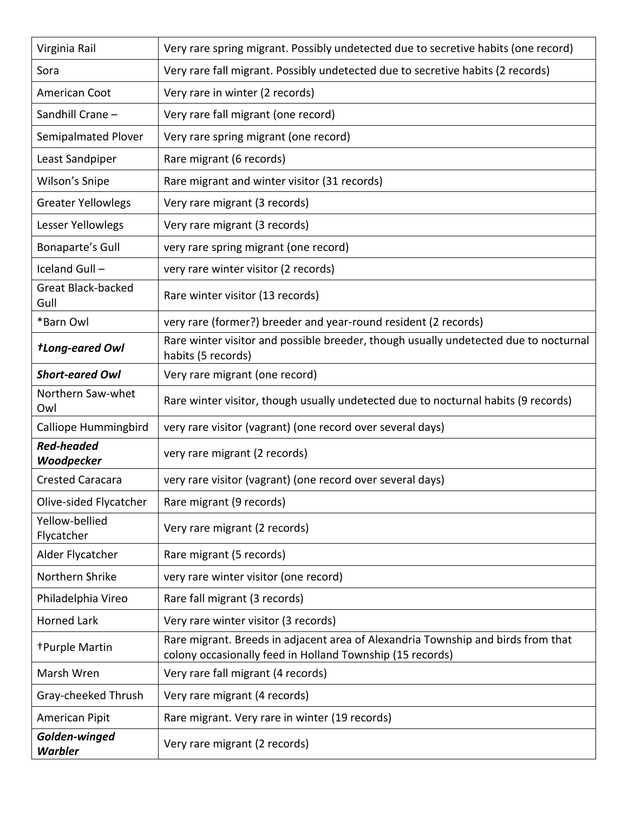| Virginia Rail                     | Very rare spring migrant. Possibly undetected due to secretive habits (one record)                                                            |
|-----------------------------------|-----------------------------------------------------------------------------------------------------------------------------------------------|
| Sora                              | Very rare fall migrant. Possibly undetected due to secretive habits (2 records)                                                               |
| American Coot                     | Very rare in winter (2 records)                                                                                                               |
| Sandhill Crane -                  | Very rare fall migrant (one record)                                                                                                           |
| Semipalmated Plover               | Very rare spring migrant (one record)                                                                                                         |
| Least Sandpiper                   | Rare migrant (6 records)                                                                                                                      |
| Wilson's Snipe                    | Rare migrant and winter visitor (31 records)                                                                                                  |
| <b>Greater Yellowlegs</b>         | Very rare migrant (3 records)                                                                                                                 |
| Lesser Yellowlegs                 | Very rare migrant (3 records)                                                                                                                 |
| Bonaparte's Gull                  | very rare spring migrant (one record)                                                                                                         |
| Iceland Gull-                     | very rare winter visitor (2 records)                                                                                                          |
| <b>Great Black-backed</b><br>Gull | Rare winter visitor (13 records)                                                                                                              |
| *Barn Owl                         | very rare (former?) breeder and year-round resident (2 records)                                                                               |
| <b>tLong-eared Owl</b>            | Rare winter visitor and possible breeder, though usually undetected due to nocturnal<br>habits (5 records)                                    |
| <b>Short-eared Owl</b>            | Very rare migrant (one record)                                                                                                                |
| Northern Saw-whet<br>Owl          | Rare winter visitor, though usually undetected due to nocturnal habits (9 records)                                                            |
| Calliope Hummingbird              | very rare visitor (vagrant) (one record over several days)                                                                                    |
| <b>Red-headed</b><br>Woodpecker   | very rare migrant (2 records)                                                                                                                 |
| <b>Crested Caracara</b>           | very rare visitor (vagrant) (one record over several days)                                                                                    |
| Olive-sided Flycatcher            | Rare migrant (9 records)                                                                                                                      |
| Yellow-bellied<br>Flycatcher      | Very rare migrant (2 records)                                                                                                                 |
| Alder Flycatcher                  | Rare migrant (5 records)                                                                                                                      |
| Northern Shrike                   | very rare winter visitor (one record)                                                                                                         |
| Philadelphia Vireo                | Rare fall migrant (3 records)                                                                                                                 |
| <b>Horned Lark</b>                | Very rare winter visitor (3 records)                                                                                                          |
| <b>+Purple Martin</b>             | Rare migrant. Breeds in adjacent area of Alexandria Township and birds from that<br>colony occasionally feed in Holland Township (15 records) |
| Marsh Wren                        | Very rare fall migrant (4 records)                                                                                                            |
| Gray-cheeked Thrush               | Very rare migrant (4 records)                                                                                                                 |
| American Pipit                    | Rare migrant. Very rare in winter (19 records)                                                                                                |
| Golden-winged<br><b>Warbler</b>   | Very rare migrant (2 records)                                                                                                                 |